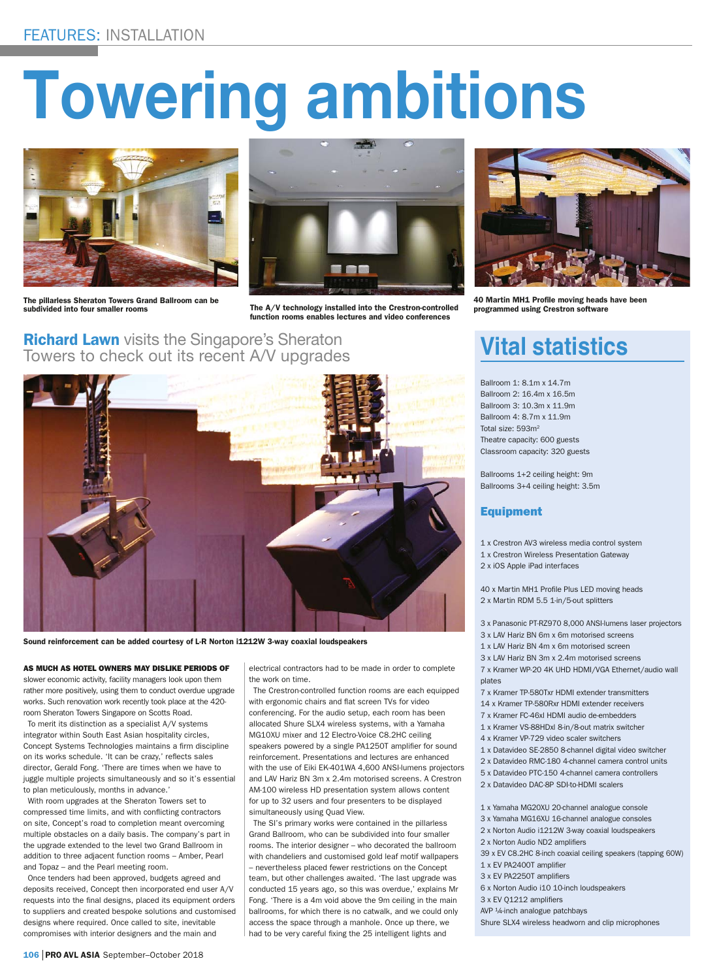# **Towering ambitions**



The pillarless Sheraton Towers Grand Ballroom can be



subdivided into four smaller rooms The A/V technology installed into the Crestron-controlled function rooms enables lectures and video conferences

**Richard Lawn** visits the Singapore's Sheraton Towers to check out its recent A/V upgrades



Sound reinforcement can be added courtesy of L-R Norton i1212W 3-way coaxial loudspeakers

#### AS MUCH AS HOTEL OWNERS MAY DISLIKE PERIODS OF

slower economic activity, facility managers look upon them rather more positively, using them to conduct overdue upgrade works. Such renovation work recently took place at the 420 room Sheraton Towers Singapore on Scotts Road.

To merit its distinction as a specialist A/V systems integrator within South East Asian hospitality circles, Concept Systems Technologies maintains a firm discipline on its works schedule. 'It can be crazy,' reflects sales director, Gerald Fong. 'There are times when we have to juggle multiple projects simultaneously and so it's essential to plan meticulously, months in advance.'

With room upgrades at the Sheraton Towers set to compressed time limits, and with conflicting contractors on site, Concept's road to completion meant overcoming multiple obstacles on a daily basis. The company's part in the upgrade extended to the level two Grand Ballroom in addition to three adjacent function rooms – Amber, Pearl and Topaz – and the Pearl meeting room.

Once tenders had been approved, budgets agreed and deposits received, Concept then incorporated end user A/V requests into the final designs, placed its equipment orders to suppliers and created bespoke solutions and customised designs where required. Once called to site, inevitable compromises with interior designers and the main and

electrical contractors had to be made in order to complete the work on time.

The Crestron-controlled function rooms are each equipped with ergonomic chairs and flat screen TVs for video conferencing. For the audio setup, each room has been allocated Shure SLX4 wireless systems, with a Yamaha MG10XU mixer and 12 Electro-Voice C8.2HC ceiling speakers powered by a single PA1250T amplifier for sound reinforcement. Presentations and lectures are enhanced with the use of Eiki EK-401WA 4,600 ANSI-lumens projectors and LAV Hariz BN 3m x 2.4m motorised screens. A Crestron AM-100 wireless HD presentation system allows content for up to 32 users and four presenters to be displayed simultaneously using Quad View.

The SI's primary works were contained in the pillarless Grand Ballroom, who can be subdivided into four smaller rooms. The interior designer – who decorated the ballroom with chandeliers and customised gold leaf motif wallpapers – nevertheless placed fewer restrictions on the Concept team, but other challenges awaited. 'The last upgrade was conducted 15 years ago, so this was overdue,' explains Mr Fong. 'There is a 4m void above the 9m ceiling in the main ballrooms, for which there is no catwalk, and we could only access the space through a manhole. Once up there, we had to be very careful fixing the 25 intelligent lights and



40 Martin MH1 Profile moving heads have been programmed using Crestron software

## **Vital statistics**

Ballroom 1: 8.1m x 14.7m Ballroom 2: 16.4m x 16.5m Ballroom 3: 10.3m x 11.9m Ballroom 4: 8.7m x 11.9m Total size: 593m<sup>2</sup> Theatre capacity: 600 guests Classroom capacity: 320 guests

Ballrooms 1+2 ceiling height: 9m Ballrooms 3+4 ceiling height: 3.5m

### Equipment

- 1 x Crestron AV3 wireless media control system
- 1 x Crestron Wireless Presentation Gateway
- 2 x iOS Apple iPad interfaces

40 x Martin MH1 Profile Plus LED moving heads 2 x Martin RDM 5.5 1-in/5-out splitters

- 3 x Panasonic PT-RZ970 8,000 ANSI-lumens laser projectors
- 3 x LAV Hariz BN 6m x 6m motorised screens
- 1 x LAV Hariz BN 4m x 6m motorised screen
- 3 x LAV Hariz BN 3m x 2.4m motorised screens 7 x Kramer WP-20 4K UHD HDMI/VGA Ethernet/audio wall plates
- 7 x Kramer TP-580Txr HDMI extender transmitters
- 14 x Kramer TP-580Rxr HDMI extender receivers
- 7 x Kramer FC-46xl HDMI audio de-embedders
- 1 x Kramer VS-88HDxl 8-in/8-out matrix switcher
- 4 x Kramer VP-729 video scaler switchers
- 1 x Datavideo SE-2850 8-channel digital video switcher
- 2 x Datavideo RMC-180 4-channel camera control units
- 5 x Datavideo PTC-150 4-channel camera controllers
- 2 x Datavideo DAC-8P SDI-to-HDMI scalers
- 1 x Yamaha MG20XU 20-channel analogue console
- 3 x Yamaha MG16XU 16-channel analogue consoles
- 2 x Norton Audio i1212W 3-way coaxial loudspeakers
- 2 x Norton Audio ND2 amplifiers
- 39 x EV C8.2HC 8-inch coaxial ceiling speakers (tapping 60W)
	- 1 x EV PA2400T amplifier
	- 3 x EV PA2250T amplifiers
	- 6 x Norton Audio i10 10-inch loudspeakers
	- 3 x EV Q1212 amplifiers
	- AVP ¼-inch analogue patchbays
	- Shure SLX4 wireless headworn and clip microphones